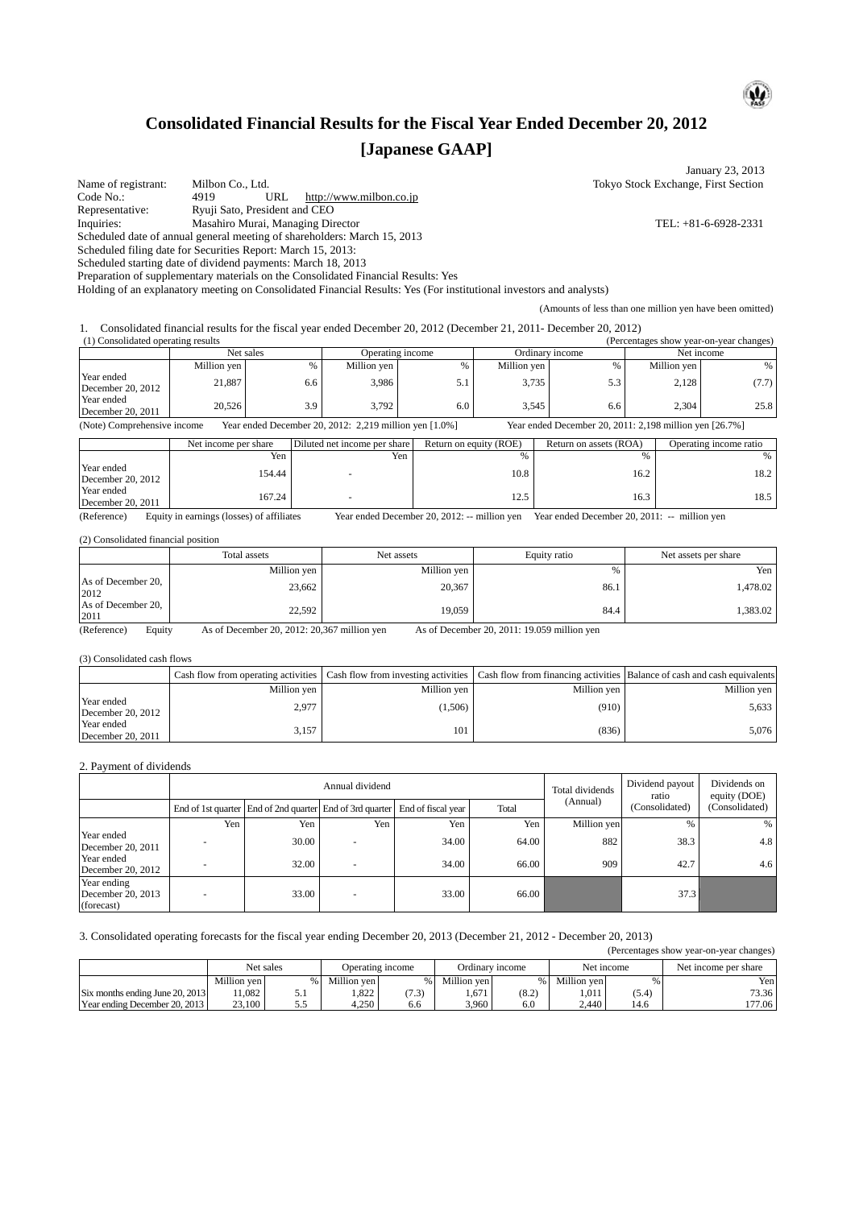# **Consolidated Financial Results for the Fiscal Year Ended December 20, 2012 [Japanese GAAP]**

| Name of registrant:                                                                                                                                                                                                                                                                                                                         |      | Milbon Co., Ltd.     |                                                                           |             |                                                          |                  |      |                           |                                              |      |                                                                                                                   |      |                         | January 23, 2013<br>Tokyo Stock Exchange, First Section |
|---------------------------------------------------------------------------------------------------------------------------------------------------------------------------------------------------------------------------------------------------------------------------------------------------------------------------------------------|------|----------------------|---------------------------------------------------------------------------|-------------|----------------------------------------------------------|------------------|------|---------------------------|----------------------------------------------|------|-------------------------------------------------------------------------------------------------------------------|------|-------------------------|---------------------------------------------------------|
| Code No.:<br>Representative:<br>Inquiries:<br>Scheduled date of annual general meeting of shareholders: March 15, 2013<br>Scheduled filing date for Securities Report: March 15, 2013:<br>Scheduled starting date of dividend payments: March 18, 2013<br>Preparation of supplementary materials on the Consolidated Financial Results: Yes | 4919 |                      | URL<br>Ryuji Sato, President and CEO<br>Masahiro Murai, Managing Director |             | http://www.milbon.co.jp                                  |                  |      |                           |                                              |      |                                                                                                                   |      |                         | TEL: +81-6-6928-2331                                    |
| Holding of an explanatory meeting on Consolidated Financial Results: Yes (For institutional investors and analysts)                                                                                                                                                                                                                         |      |                      |                                                                           |             |                                                          |                  |      |                           |                                              |      |                                                                                                                   |      |                         |                                                         |
|                                                                                                                                                                                                                                                                                                                                             |      |                      |                                                                           |             |                                                          |                  |      |                           |                                              |      | (Amounts of less than one million yen have been omitted)                                                          |      |                         |                                                         |
| 1.<br>(1) Consolidated operating results                                                                                                                                                                                                                                                                                                    |      |                      |                                                                           |             |                                                          |                  |      |                           |                                              |      | Consolidated financial results for the fiscal year ended December 20, 2012 (December 21, 2011- December 20, 2012) |      |                         | (Percentages show year-on-year changes)                 |
|                                                                                                                                                                                                                                                                                                                                             |      |                      | Net sales                                                                 |             |                                                          | Operating income |      |                           |                                              |      | Ordinary income                                                                                                   |      |                         | Net income                                              |
|                                                                                                                                                                                                                                                                                                                                             |      | Million yen          |                                                                           | $\%$        | Million yen                                              |                  |      | $\%$                      | Million yen                                  |      | $\%$                                                                                                              |      | Million yen             | $\%$                                                    |
| Year ended<br>December 20, 2012<br>Year ended                                                                                                                                                                                                                                                                                               |      | 21,887               |                                                                           | 6.6         |                                                          | 3,986            |      | 5.1                       | 3,735                                        |      | 5.3                                                                                                               |      | 2,128                   | (7.7)                                                   |
| December 20, 2011                                                                                                                                                                                                                                                                                                                           |      | 20,526               |                                                                           | 3.9         |                                                          | 3,792            |      | 6.0                       | 3,545                                        |      | 6.6                                                                                                               |      | 2,304                   | 25.8                                                    |
| (Note) Comprehensive income                                                                                                                                                                                                                                                                                                                 |      |                      |                                                                           |             | Year ended December 20, 2012: 2,219 million yen [1.0%]   |                  |      |                           |                                              |      | Year ended December 20, 2011: 2,198 million yen [26.7%]                                                           |      |                         |                                                         |
|                                                                                                                                                                                                                                                                                                                                             |      | Net income per share |                                                                           |             | Diluted net income per share                             |                  |      |                           | Return on equity (ROE)                       |      | Return on assets (ROA)                                                                                            |      |                         | Operating income ratio                                  |
| Year ended                                                                                                                                                                                                                                                                                                                                  |      |                      | Yen                                                                       |             |                                                          | Yen              |      |                           | $\%$                                         |      |                                                                                                                   | $\%$ |                         | $\%$                                                    |
| December 20, 2012                                                                                                                                                                                                                                                                                                                           |      |                      | 154.44                                                                    |             |                                                          |                  |      |                           | 10.8                                         |      |                                                                                                                   | 16.2 |                         | 18.2                                                    |
| Year ended<br>December 20, 2011                                                                                                                                                                                                                                                                                                             |      |                      | 167.24                                                                    |             |                                                          |                  |      |                           | 12.5                                         |      |                                                                                                                   | 16.3 |                         | 18.5                                                    |
| (Reference)                                                                                                                                                                                                                                                                                                                                 |      |                      | Equity in earnings (losses) of affiliates                                 |             |                                                          |                  |      |                           | Year ended December 20, 2012: -- million yen |      | Year ended December 20, 2011: -- million yen                                                                      |      |                         |                                                         |
| (2) Consolidated financial position                                                                                                                                                                                                                                                                                                         |      |                      |                                                                           |             |                                                          |                  |      |                           |                                              |      |                                                                                                                   |      |                         |                                                         |
|                                                                                                                                                                                                                                                                                                                                             |      |                      | Total assets                                                              |             |                                                          | Net assets       |      |                           |                                              |      | Equity ratio                                                                                                      |      |                         | Net assets per share                                    |
|                                                                                                                                                                                                                                                                                                                                             |      |                      |                                                                           | Million yen |                                                          |                  |      | Million yen               |                                              |      | $\%$                                                                                                              |      |                         | Yen                                                     |
| As of December 20.                                                                                                                                                                                                                                                                                                                          |      |                      |                                                                           | 23,662      |                                                          |                  |      | 20,367                    |                                              |      | 86.1                                                                                                              |      |                         | 1,478.02                                                |
| 2012<br>As of December 20,<br>2011                                                                                                                                                                                                                                                                                                          |      |                      |                                                                           | 22,592      |                                                          |                  |      | 19,059                    |                                              |      | 84.4                                                                                                              |      |                         | 1,383.02                                                |
| (Reference)<br>Equity                                                                                                                                                                                                                                                                                                                       |      |                      |                                                                           |             | As of December 20, 2012: 20,367 million yen              |                  |      |                           | As of December 20, 2011: 19.059 million yen  |      |                                                                                                                   |      |                         |                                                         |
| (3) Consolidated cash flows                                                                                                                                                                                                                                                                                                                 |      |                      |                                                                           |             |                                                          |                  |      |                           |                                              |      |                                                                                                                   |      |                         |                                                         |
|                                                                                                                                                                                                                                                                                                                                             |      |                      | Cash flow from operating activities                                       |             | Cash flow from investing activities                      |                  |      |                           |                                              |      | Cash flow from financing activities                                                                               |      |                         | Balance of cash and cash equivalents                    |
|                                                                                                                                                                                                                                                                                                                                             |      |                      |                                                                           | Million yen |                                                          |                  |      | Million yen               |                                              |      | Million yen                                                                                                       |      |                         | Million yen                                             |
| Year ended                                                                                                                                                                                                                                                                                                                                  |      |                      |                                                                           | 2,977       |                                                          |                  |      | (1,506)                   |                                              |      | (910)                                                                                                             |      |                         | 5,633                                                   |
| December 20, 2012<br>Year ended                                                                                                                                                                                                                                                                                                             |      |                      |                                                                           |             |                                                          |                  |      |                           |                                              |      |                                                                                                                   |      |                         |                                                         |
| December 20, 2011                                                                                                                                                                                                                                                                                                                           |      |                      |                                                                           | 3,157       |                                                          |                  |      | 101                       |                                              |      | (836)                                                                                                             |      |                         | 5,076                                                   |
| 2. Payment of dividends                                                                                                                                                                                                                                                                                                                     |      |                      |                                                                           |             |                                                          |                  |      |                           |                                              |      |                                                                                                                   |      |                         |                                                         |
|                                                                                                                                                                                                                                                                                                                                             |      |                      |                                                                           |             | Annual dividend                                          |                  |      |                           |                                              |      |                                                                                                                   |      | Dividend payout         | Dividends on                                            |
|                                                                                                                                                                                                                                                                                                                                             |      |                      |                                                                           |             |                                                          |                  |      |                           |                                              |      | Total dividends<br>(Annual)                                                                                       |      | ratio<br>(Consolidated) | equity (DOE)                                            |
|                                                                                                                                                                                                                                                                                                                                             |      | Yen                  |                                                                           | Yen         | End of 1st quarter End of 2nd quarter End of 3rd quarter | Yen              |      | End of fiscal year<br>Yen | Total                                        |      |                                                                                                                   |      | $\%$                    | (Consolidated)<br>%                                     |
| Year ended                                                                                                                                                                                                                                                                                                                                  |      |                      |                                                                           |             |                                                          |                  |      |                           | Yen                                          |      | Million yen                                                                                                       |      |                         | 4.8                                                     |
| December 20, 2011                                                                                                                                                                                                                                                                                                                           |      |                      |                                                                           | 30.00       |                                                          |                  |      | 34.00                     | 64.00                                        |      | 882                                                                                                               |      | 38.3                    |                                                         |
| Year ended<br>December 20, 2012                                                                                                                                                                                                                                                                                                             |      |                      |                                                                           | 32.00       |                                                          |                  |      | 34.00                     | 66.00                                        |      | 909                                                                                                               |      | 42.7                    | 4.6                                                     |
| Year ending                                                                                                                                                                                                                                                                                                                                 |      |                      |                                                                           |             |                                                          |                  |      |                           |                                              |      |                                                                                                                   |      |                         |                                                         |
| December 20, 2013<br>(forecast)                                                                                                                                                                                                                                                                                                             |      |                      |                                                                           | 33.00       |                                                          |                  |      | 33.00                     | 66.00                                        |      |                                                                                                                   |      | 37.3                    |                                                         |
|                                                                                                                                                                                                                                                                                                                                             |      |                      |                                                                           |             |                                                          |                  |      |                           |                                              |      |                                                                                                                   |      |                         |                                                         |
| 3. Consolidated operating forecasts for the fiscal year ending December 20, 2013 (December 21, 2012 - December 20, 2013)                                                                                                                                                                                                                    |      |                      |                                                                           |             |                                                          |                  |      |                           |                                              |      |                                                                                                                   |      |                         | (Percentages show year-on-year changes)                 |
|                                                                                                                                                                                                                                                                                                                                             |      |                      | Net sales                                                                 |             | Operating income                                         |                  |      |                           | Ordinary income                              |      | Net income                                                                                                        |      |                         | Net income per share                                    |
|                                                                                                                                                                                                                                                                                                                                             |      | Million yen          |                                                                           | %           | Million yen                                              |                  | $\%$ | Million yen               |                                              | $\%$ | Million yen                                                                                                       | $\%$ |                         | Yen                                                     |

|                            | Total assets | Net assets  | Equity ratio | Net assets per share |
|----------------------------|--------------|-------------|--------------|----------------------|
|                            | Million yen  | Million yen |              | Yen                  |
| As of December 20,<br>2012 | 23,662       | 20,367      | 86.1         | ,478.02              |
| As of December 20,<br>2011 | 22,592       | 19,059      | 84.4         | 1,383.02             |

|                                 | Cash flow from operating activities Cash flow from investing activities |             |             | Cash flow from financing activities Balance of cash and cash equivalents |
|---------------------------------|-------------------------------------------------------------------------|-------------|-------------|--------------------------------------------------------------------------|
|                                 | Million ven 1                                                           | Million ven | Million ven | Million ven                                                              |
| Year ended<br>December 20, 2012 | 2.977                                                                   | (1,506)     | (910)       | 5.633                                                                    |
| Year ended<br>December 20, 2011 | 3.157                                                                   | 101         | (836)       | 5.076                                                                    |

|                                 |             |     |             |                  |             |                 |             |       | (Percentages show year-on-year changes) |
|---------------------------------|-------------|-----|-------------|------------------|-------------|-----------------|-------------|-------|-----------------------------------------|
|                                 | Net sales   |     |             | Operating income |             | Ordinary income | Net income  |       | Net income per share                    |
|                                 | Million ven |     | Million ven | %                | Million ven |                 | Million ven |       | Yen                                     |
| Six months ending June 20, 2013 | 1.082       | 5.1 | .822        | (7.3)            | .671        | (8.2)           | 1.011       | (5.4) | 73.36                                   |
| Year ending December 20, 2013   | 23,100      | 5.5 | 4.250       | 6.6              | 3.960       | 6.0             | 2.440       | 14.6  | ' 77.06                                 |



 $\overline{\mathbf{Q}}$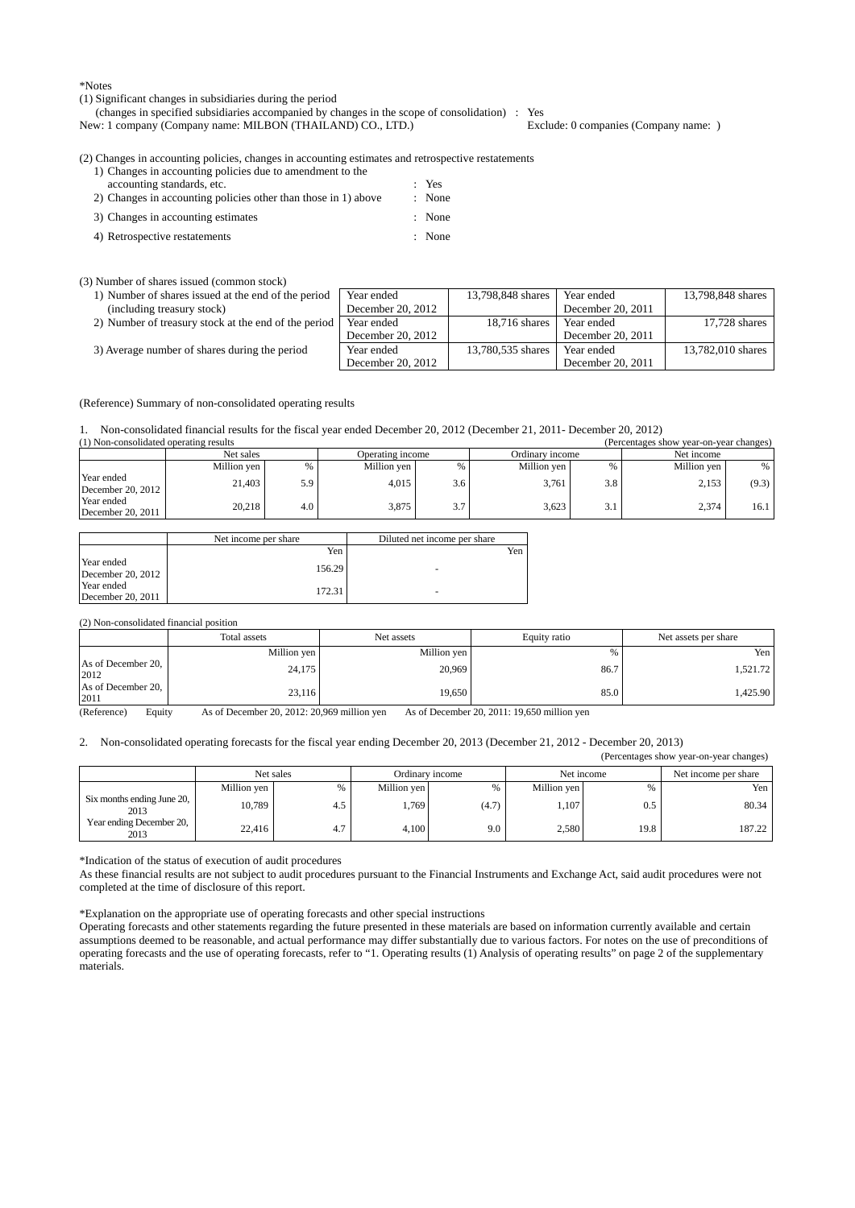\*Notes

(1) Significant changes in subsidiaries during the period

(changes in specified subsidiaries accompanied by changes in the scope of consolidation) : Yes<br>w: 1 company (Company name: MILBON (THAILAND) CO., LTD.) Exclude: 0 companies (Company name: )

New: 1 company (Company name: MILBON (THAILAND) CO., LTD.)

(2) Changes in accounting policies, changes in accounting estimates and retrospective restatements

| 1) Changes in accounting policies due to amendment to the      |        |
|----------------------------------------------------------------|--------|
| accounting standards, etc.                                     | $Y$ es |
| 2) Changes in accounting policies other than those in 1) above | : None |
| 3) Changes in accounting estimates                             | : None |
| 4) Retrospective restatements                                  | : None |

(3) Number of shares issued (common stock)

| 1) Number of shares issued at the end of the period  | Year ended          | 13,798,848 shares | Year ended        | 13,798,848 shares |
|------------------------------------------------------|---------------------|-------------------|-------------------|-------------------|
| (including treasury stock)                           | December 20, 2012   |                   | December 20, 2011 |                   |
| 2) Number of treasury stock at the end of the period | Year ended          | 18,716 shares     | Year ended        | 17,728 shares     |
|                                                      | December 20, 2012   |                   | December 20, 2011 |                   |
| 3) Average number of shares during the period        | Year ended          | 13,780,535 shares | Year ended        | 13,782,010 shares |
|                                                      | December 20, $2012$ |                   | December 20, 2011 |                   |

(Reference) Summary of non-consolidated operating results

1. Non-consolidated financial results for the fiscal year ended December 20, 2012 (December 21, 2011- December 20, 2012)

| (1) Non-consolidated operating results |                               |     |                 |     |             |            | (Percentages show year-on-year changes) |       |
|----------------------------------------|-------------------------------|-----|-----------------|-----|-------------|------------|-----------------------------------------|-------|
|                                        | Net sales<br>Operating income |     | Ordinary income |     |             | Net income |                                         |       |
|                                        | Million yen                   |     | Million yen     |     | Million yen | %          | Million yen                             | %     |
| Year ended<br>December 20, $2012$      | 21.403                        | 5.9 | 4.015           | 3.6 | 3.761       | 3.8        | 2.153                                   | (9.3) |
| Year ended<br>December $20.2011$       | 20.218                        | 4.0 | 3.875           | 37  | 3.623       | 3.         | 2.374                                   | 16.1  |

|                                 | Net income per share | Diluted net income per share |
|---------------------------------|----------------------|------------------------------|
|                                 | Yen                  | Yen                          |
| Year ended<br>December 20, 2012 | 156.29               | -                            |
| Year ended<br>December 20, 2011 | 172.31               | ۰                            |

(2) Non-consolidated financial position

|                            | Total assets | Net assets  | Equity ratio | Net assets per share |
|----------------------------|--------------|-------------|--------------|----------------------|
|                            | Million yen  | Million yen | %            | Yen                  |
| As of December 20,<br>2012 | 24,175       | 20,969      | 86.7         | 1.521.72             |
| As of December 20,<br>2011 | 23,116       | 19,650      | 85.0         | 1.425.90             |

(Reference) Equity As of December 20, 2012: 20,969 million yen As of December 20, 2011: 19,650 million yen

#### 2. Non-consolidated operating forecasts for the fiscal year ending December 20, 2013 (December 21, 2012 - December 20, 2013)

|                                    |             |           |             |                 |             |            | (Percentages show year-on-year changes) |
|------------------------------------|-------------|-----------|-------------|-----------------|-------------|------------|-----------------------------------------|
|                                    |             | Net sales |             | Ordinary income |             | Net income | Net income per share                    |
|                                    | Million yen | %         | Million ven |                 | Million ven | %          | Yen I                                   |
| Six months ending June 20,<br>2013 | 10,789      | 4.5       | .769        | (4.7)           | 1,107       | 0.5        | 80.34                                   |
| Year ending December 20,<br>2013   | 22.416      | 4.7       | 4.100       | 9.0             | 2,580       | 19.8       | 187.22                                  |

\*Indication of the status of execution of audit procedures

As these financial results are not subject to audit procedures pursuant to the Financial Instruments and Exchange Act, said audit procedures were not completed at the time of disclosure of this report.

\*Explanation on the appropriate use of operating forecasts and other special instructions

Operating forecasts and other statements regarding the future presented in these materials are based on information currently available and certain assumptions deemed to be reasonable, and actual performance may differ substantially due to various factors. For notes on the use of preconditions of operating forecasts and the use of operating forecasts, refer to "1. Operating results (1) Analysis of operating results" on page 2 of the supplementary materials.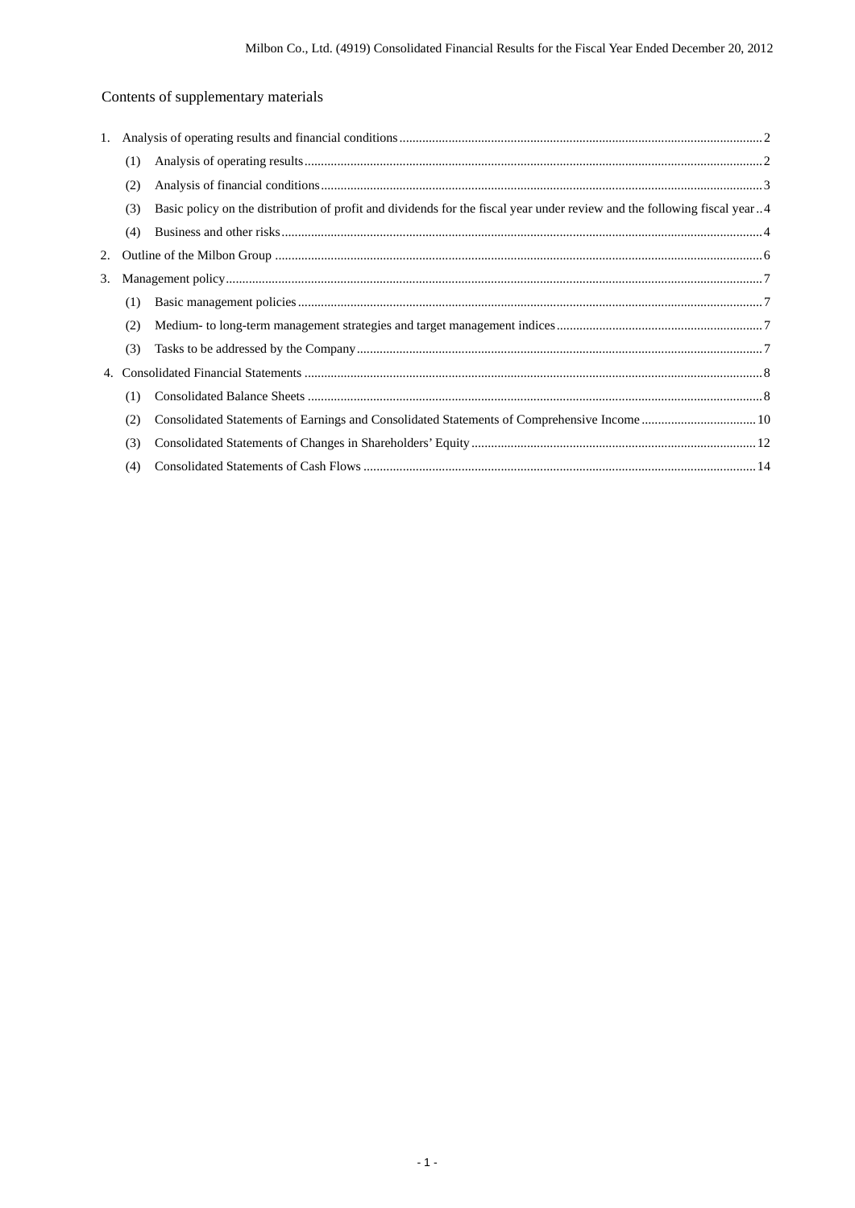# Contents of supplementary materials

| (1) |                                                                                                                          |
|-----|--------------------------------------------------------------------------------------------------------------------------|
| (2) |                                                                                                                          |
| (3) |                                                                                                                          |
| (4) |                                                                                                                          |
|     |                                                                                                                          |
|     |                                                                                                                          |
| (1) |                                                                                                                          |
| (2) |                                                                                                                          |
| (3) |                                                                                                                          |
| 4.  |                                                                                                                          |
| (1) |                                                                                                                          |
| (2) |                                                                                                                          |
| (3) |                                                                                                                          |
| (4) |                                                                                                                          |
|     | Basic policy on the distribution of profit and dividends for the fiscal year under review and the following fiscal year4 |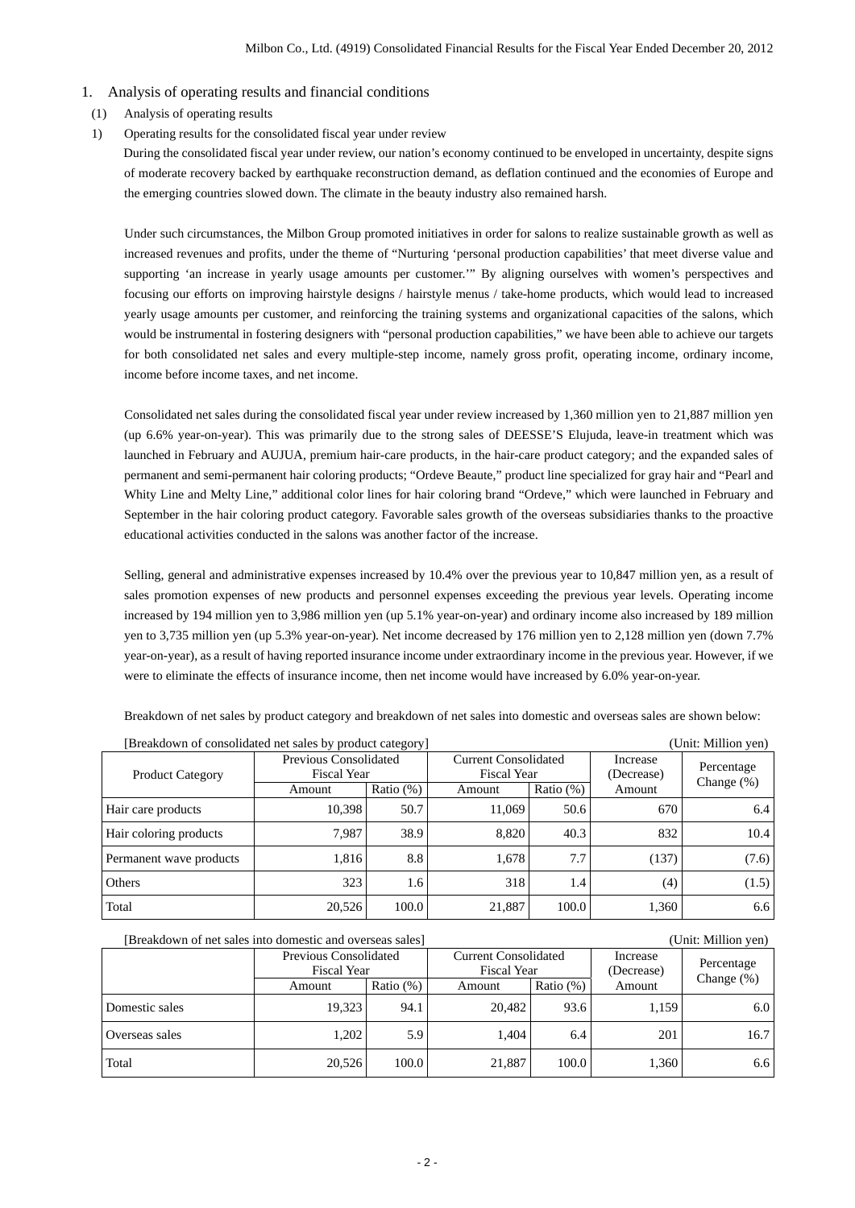### 1. Analysis of operating results and financial conditions

- (1) Analysis of operating results
- 1) Operating results for the consolidated fiscal year under review

During the consolidated fiscal year under review, our nation's economy continued to be enveloped in uncertainty, despite signs of moderate recovery backed by earthquake reconstruction demand, as deflation continued and the economies of Europe and the emerging countries slowed down. The climate in the beauty industry also remained harsh.

Under such circumstances, the Milbon Group promoted initiatives in order for salons to realize sustainable growth as well as increased revenues and profits, under the theme of "Nurturing 'personal production capabilities' that meet diverse value and supporting 'an increase in yearly usage amounts per customer.'" By aligning ourselves with women's perspectives and focusing our efforts on improving hairstyle designs / hairstyle menus / take-home products, which would lead to increased yearly usage amounts per customer, and reinforcing the training systems and organizational capacities of the salons, which would be instrumental in fostering designers with "personal production capabilities," we have been able to achieve our targets for both consolidated net sales and every multiple-step income, namely gross profit, operating income, ordinary income, income before income taxes, and net income.

Consolidated net sales during the consolidated fiscal year under review increased by 1,360 million yen to 21,887 million yen (up 6.6% year-on-year). This was primarily due to the strong sales of DEESSE'S Elujuda, leave-in treatment which was launched in February and AUJUA, premium hair-care products, in the hair-care product category; and the expanded sales of permanent and semi-permanent hair coloring products; "Ordeve Beaute," product line specialized for gray hair and "Pearl and Whity Line and Melty Line," additional color lines for hair coloring brand "Ordeve," which were launched in February and September in the hair coloring product category. Favorable sales growth of the overseas subsidiaries thanks to the proactive educational activities conducted in the salons was another factor of the increase.

Selling, general and administrative expenses increased by 10.4% over the previous year to 10,847 million yen, as a result of sales promotion expenses of new products and personnel expenses exceeding the previous year levels. Operating income increased by 194 million yen to 3,986 million yen (up 5.1% year-on-year) and ordinary income also increased by 189 million yen to 3,735 million yen (up 5.3% year-on-year). Net income decreased by 176 million yen to 2,128 million yen (down 7.7% year-on-year), as a result of having reported insurance income under extraordinary income in the previous year. However, if we were to eliminate the effects of insurance income, then net income would have increased by 6.0% year-on-year.

Breakdown of net sales by product category and breakdown of net sales into domestic and overseas sales are shown below:

| [Breakdown of consolidated net sales by product category] |                                      |              |                                                   |              |                        | (Unit: Million yen) |
|-----------------------------------------------------------|--------------------------------------|--------------|---------------------------------------------------|--------------|------------------------|---------------------|
| <b>Product Category</b>                                   | Previous Consolidated<br>Fiscal Year |              | <b>Current Consolidated</b><br><b>Fiscal Year</b> |              | Increase<br>(Decrease) | Percentage          |
|                                                           | Amount                               | Ratio $(\%)$ | Amount                                            | Ratio $(\%)$ | Amount                 | Change $(\%)$       |
| Hair care products                                        | 10.398                               | 50.7         | 11.069                                            | 50.6         | 670                    | 6.4                 |
| Hair coloring products                                    | 7.987                                | 38.9         | 8.820                                             | 40.3         | 832                    | 10.4                |
| Permanent wave products                                   | 1.816                                | 8.8          | 1.678                                             | 7.7          | (137)                  | (7.6)               |
| Others                                                    | 323                                  | 1.6          | 318                                               | 1.4          | (4)                    | (1.5)               |
| Total                                                     | 20,526                               | 100.0        | 21,887                                            | 100.0        | 1,360                  | 6.6                 |

| [Breakdown of net sales into domestic and overseas sales] |                                      |              |                                                   |              |                        | (Unit: Million yen) |
|-----------------------------------------------------------|--------------------------------------|--------------|---------------------------------------------------|--------------|------------------------|---------------------|
|                                                           | Previous Consolidated<br>Fiscal Year |              | <b>Current Consolidated</b><br><b>Fiscal Year</b> |              | Increase<br>(Decrease) | Percentage          |
|                                                           | Amount                               | Ratio $(\%)$ | Amount                                            | Ratio $(\%)$ | Amount                 | Change $(\%)$       |
| Domestic sales                                            | 19.323                               | 94.1         | 20.482                                            | 93.6         | 1,159                  | 6.0                 |
| Overseas sales                                            | 1.202                                | 5.9          | 1.404                                             | 6.4          | 201                    | 16.7                |
| Total                                                     | 20,526                               | 100.0        | 21,887                                            | 100.0        | 1,360                  | 6.6                 |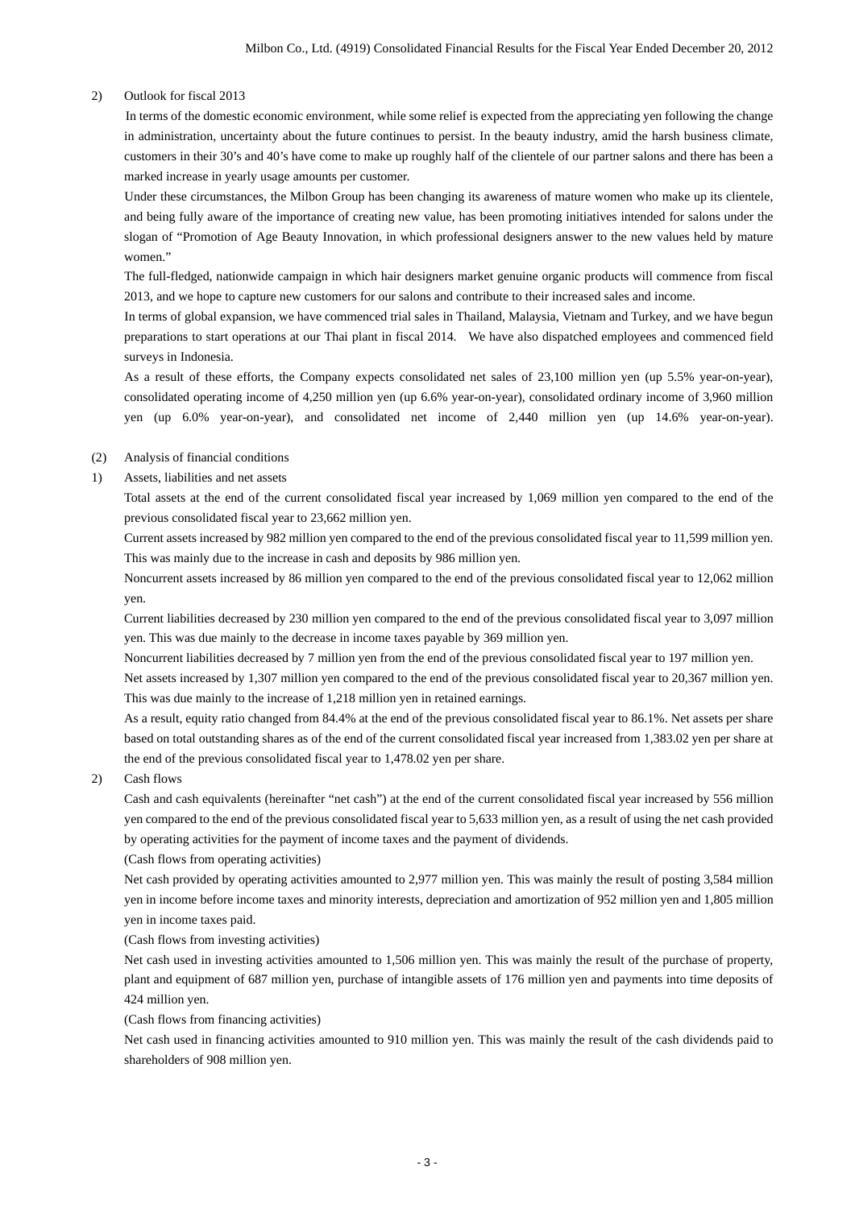#### 2) Outlook for fiscal 2013

In terms of the domestic economic environment, while some relief is expected from the appreciating yen following the change in administration, uncertainty about the future continues to persist. In the beauty industry, amid the harsh business climate, customers in their 30's and 40's have come to make up roughly half of the clientele of our partner salons and there has been a marked increase in yearly usage amounts per customer.

Under these circumstances, the Milbon Group has been changing its awareness of mature women who make up its clientele, and being fully aware of the importance of creating new value, has been promoting initiatives intended for salons under the slogan of "Promotion of Age Beauty Innovation, in which professional designers answer to the new values held by mature women."

The full-fledged, nationwide campaign in which hair designers market genuine organic products will commence from fiscal 2013, and we hope to capture new customers for our salons and contribute to their increased sales and income.

In terms of global expansion, we have commenced trial sales in Thailand, Malaysia, Vietnam and Turkey, and we have begun preparations to start operations at our Thai plant in fiscal 2014. We have also dispatched employees and commenced field surveys in Indonesia.

As a result of these efforts, the Company expects consolidated net sales of 23,100 million yen (up 5.5% year-on-year), consolidated operating income of 4,250 million yen (up 6.6% year-on-year), consolidated ordinary income of 3,960 million yen (up 6.0% year-on-year), and consolidated net income of 2,440 million yen (up 14.6% year-on-year).

#### (2) Analysis of financial conditions

1) Assets, liabilities and net assets

Total assets at the end of the current consolidated fiscal year increased by 1,069 million yen compared to the end of the previous consolidated fiscal year to 23,662 million yen.

Current assets increased by 982 million yen compared to the end of the previous consolidated fiscal year to 11,599 million yen. This was mainly due to the increase in cash and deposits by 986 million yen.

Noncurrent assets increased by 86 million yen compared to the end of the previous consolidated fiscal year to 12,062 million yen.

Current liabilities decreased by 230 million yen compared to the end of the previous consolidated fiscal year to 3,097 million yen. This was due mainly to the decrease in income taxes payable by 369 million yen.

Noncurrent liabilities decreased by 7 million yen from the end of the previous consolidated fiscal year to 197 million yen.

Net assets increased by 1,307 million yen compared to the end of the previous consolidated fiscal year to 20,367 million yen. This was due mainly to the increase of 1,218 million yen in retained earnings.

As a result, equity ratio changed from 84.4% at the end of the previous consolidated fiscal year to 86.1%. Net assets per share based on total outstanding shares as of the end of the current consolidated fiscal year increased from 1,383.02 yen per share at the end of the previous consolidated fiscal year to 1,478.02 yen per share.

#### 2) Cash flows

Cash and cash equivalents (hereinafter "net cash") at the end of the current consolidated fiscal year increased by 556 million yen compared to the end of the previous consolidated fiscal year to 5,633 million yen, as a result of using the net cash provided by operating activities for the payment of income taxes and the payment of dividends.

(Cash flows from operating activities)

Net cash provided by operating activities amounted to 2,977 million yen. This was mainly the result of posting 3,584 million yen in income before income taxes and minority interests, depreciation and amortization of 952 million yen and 1,805 million yen in income taxes paid.

(Cash flows from investing activities)

Net cash used in investing activities amounted to 1,506 million yen. This was mainly the result of the purchase of property, plant and equipment of 687 million yen, purchase of intangible assets of 176 million yen and payments into time deposits of 424 million yen.

(Cash flows from financing activities)

Net cash used in financing activities amounted to 910 million yen. This was mainly the result of the cash dividends paid to shareholders of 908 million yen.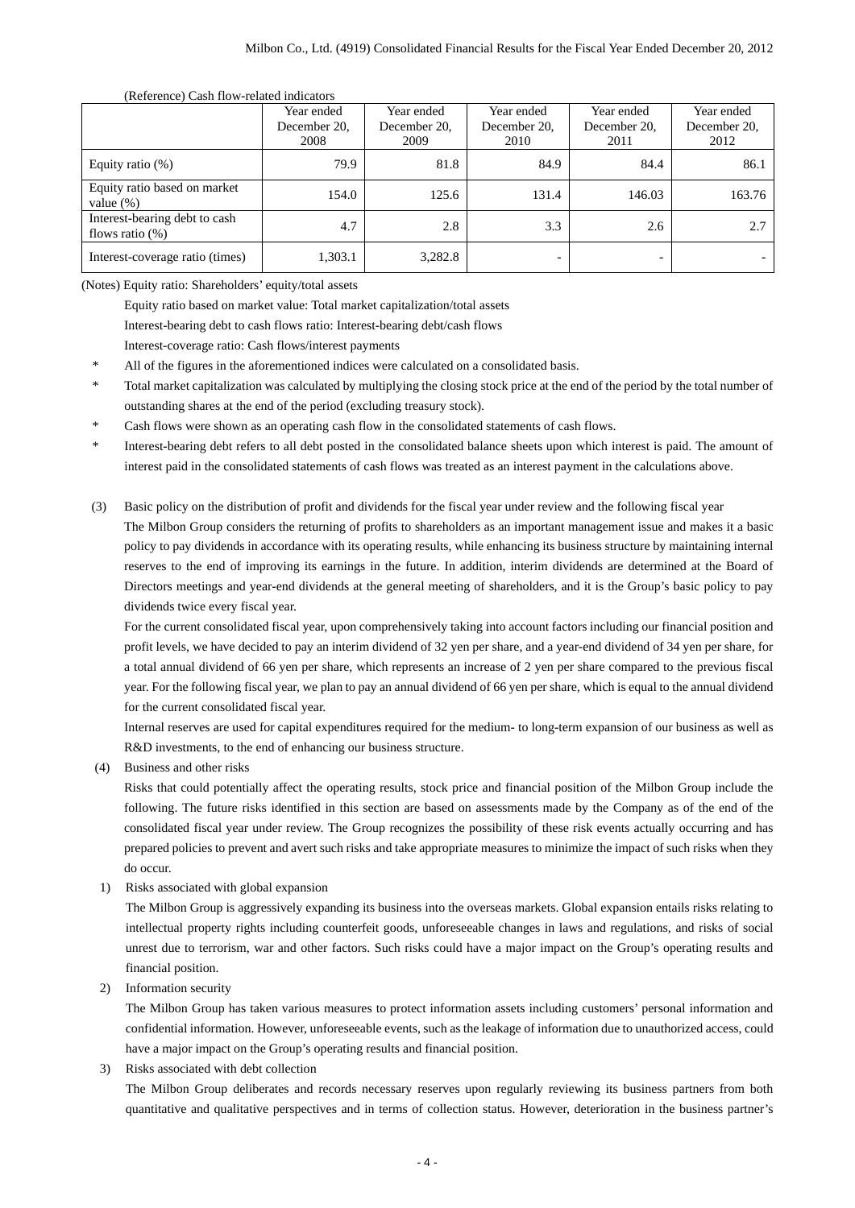#### (Reference) Cash flow-related indicators

|                                                     | Year ended<br>December 20,<br>2008 | Year ended<br>December 20,<br>2009 | Year ended<br>December 20.<br>2010 | Year ended<br>December 20,<br>2011 | Year ended<br>December 20.<br>2012 |
|-----------------------------------------------------|------------------------------------|------------------------------------|------------------------------------|------------------------------------|------------------------------------|
| Equity ratio $(\%)$                                 | 79.9                               | 81.8                               | 84.9                               | 84.4                               | 86.1                               |
| Equity ratio based on market<br>value $(\%)$        | 154.0                              | 125.6                              | 131.4                              | 146.03                             | 163.76                             |
| Interest-bearing debt to cash<br>flows ratio $(\%)$ | 4.7                                | 2.8                                | 3.3                                | 2.6                                | 2.7                                |
| Interest-coverage ratio (times)                     | 1,303.1                            | 3,282.8                            |                                    |                                    |                                    |

(Notes) Equity ratio: Shareholders' equity/total assets

Equity ratio based on market value: Total market capitalization/total assets

Interest-bearing debt to cash flows ratio: Interest-bearing debt/cash flows

Interest-coverage ratio: Cash flows/interest payments

- All of the figures in the aforementioned indices were calculated on a consolidated basis.
- \* Total market capitalization was calculated by multiplying the closing stock price at the end of the period by the total number of outstanding shares at the end of the period (excluding treasury stock).
- Cash flows were shown as an operating cash flow in the consolidated statements of cash flows.
- \* Interest-bearing debt refers to all debt posted in the consolidated balance sheets upon which interest is paid. The amount of interest paid in the consolidated statements of cash flows was treated as an interest payment in the calculations above.
- (3) Basic policy on the distribution of profit and dividends for the fiscal year under review and the following fiscal year

The Milbon Group considers the returning of profits to shareholders as an important management issue and makes it a basic policy to pay dividends in accordance with its operating results, while enhancing its business structure by maintaining internal reserves to the end of improving its earnings in the future. In addition, interim dividends are determined at the Board of Directors meetings and year-end dividends at the general meeting of shareholders, and it is the Group's basic policy to pay dividends twice every fiscal year.

For the current consolidated fiscal year, upon comprehensively taking into account factors including our financial position and profit levels, we have decided to pay an interim dividend of 32 yen per share, and a year-end dividend of 34 yen per share, for a total annual dividend of 66 yen per share, which represents an increase of 2 yen per share compared to the previous fiscal year. For the following fiscal year, we plan to pay an annual dividend of 66 yen per share, which is equal to the annual dividend for the current consolidated fiscal year.

Internal reserves are used for capital expenditures required for the medium- to long-term expansion of our business as well as R&D investments, to the end of enhancing our business structure.

(4) Business and other risks

Risks that could potentially affect the operating results, stock price and financial position of the Milbon Group include the following. The future risks identified in this section are based on assessments made by the Company as of the end of the consolidated fiscal year under review. The Group recognizes the possibility of these risk events actually occurring and has prepared policies to prevent and avert such risks and take appropriate measures to minimize the impact of such risks when they do occur.

1) Risks associated with global expansion

The Milbon Group is aggressively expanding its business into the overseas markets. Global expansion entails risks relating to intellectual property rights including counterfeit goods, unforeseeable changes in laws and regulations, and risks of social unrest due to terrorism, war and other factors. Such risks could have a major impact on the Group's operating results and financial position.

2) Information security

The Milbon Group has taken various measures to protect information assets including customers' personal information and confidential information. However, unforeseeable events, such as the leakage of information due to unauthorized access, could have a major impact on the Group's operating results and financial position.

3) Risks associated with debt collection

The Milbon Group deliberates and records necessary reserves upon regularly reviewing its business partners from both quantitative and qualitative perspectives and in terms of collection status. However, deterioration in the business partner's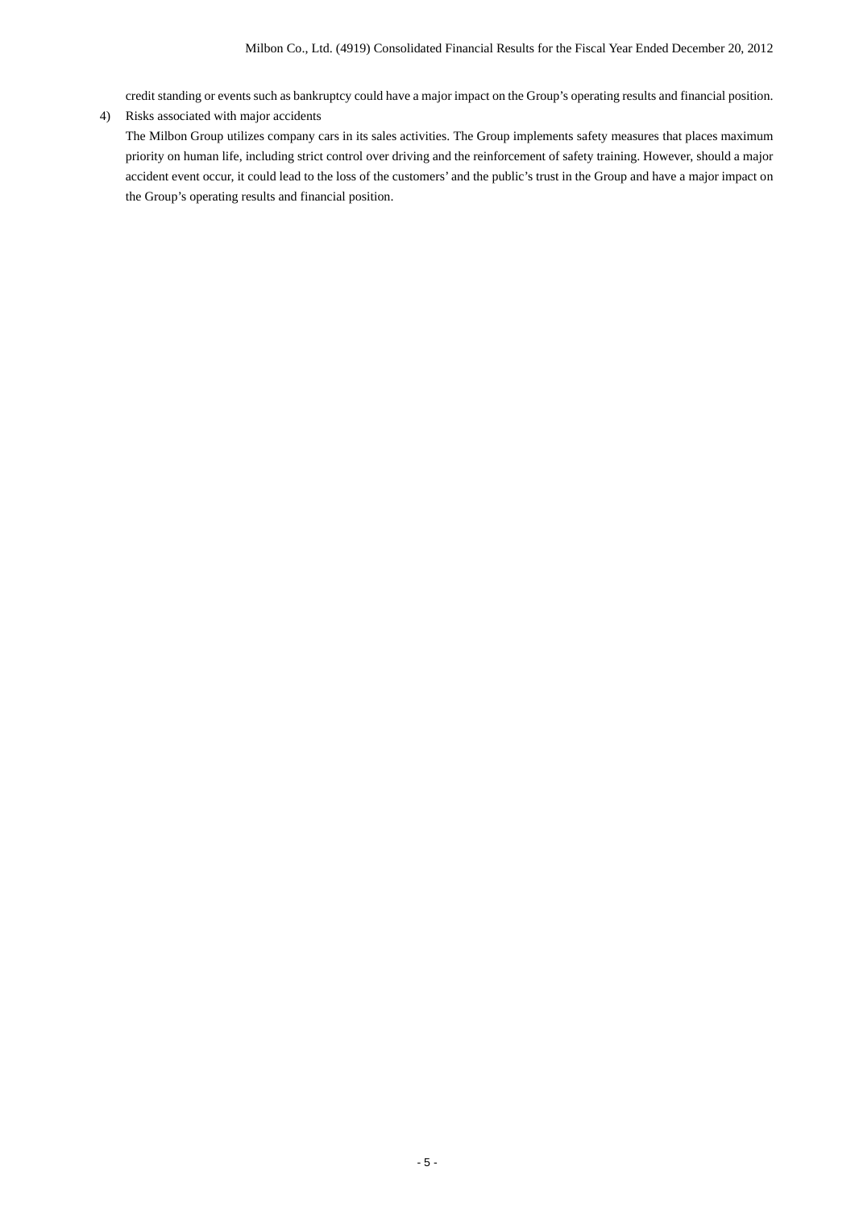credit standing or events such as bankruptcy could have a major impact on the Group's operating results and financial position. 4) Risks associated with major accidents

The Milbon Group utilizes company cars in its sales activities. The Group implements safety measures that places maximum priority on human life, including strict control over driving and the reinforcement of safety training. However, should a major accident event occur, it could lead to the loss of the customers' and the public's trust in the Group and have a major impact on the Group's operating results and financial position.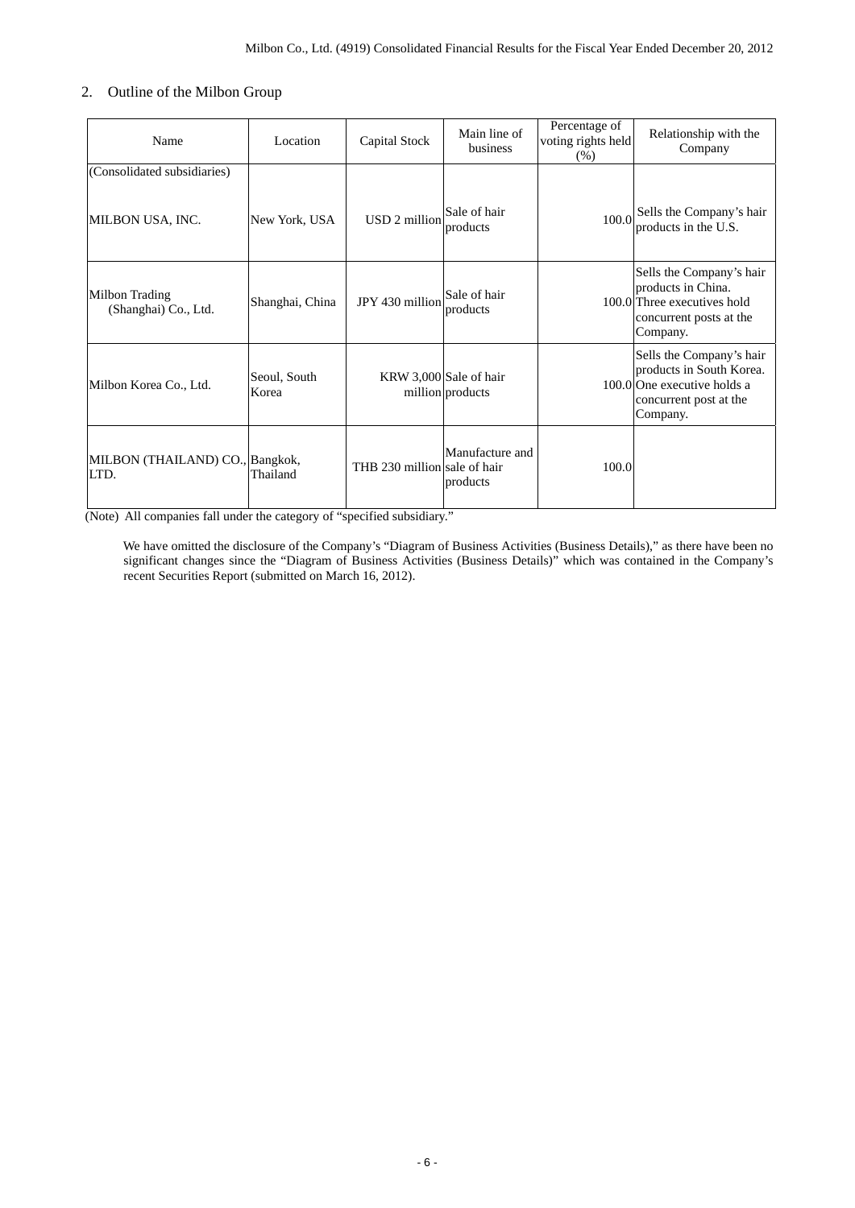## 2. Outline of the Milbon Group

| Name                                    | Location              | Capital Stock                | Main line of<br>business                   | Percentage of<br>voting rights held<br>(% ) | Relationship with the<br>Company                                                                                          |
|-----------------------------------------|-----------------------|------------------------------|--------------------------------------------|---------------------------------------------|---------------------------------------------------------------------------------------------------------------------------|
| (Consolidated subsidiaries)             |                       |                              |                                            |                                             |                                                                                                                           |
| MILBON USA, INC.                        | New York, USA         | USD 2 million                | Sale of hair<br>products                   |                                             | 100.0 Sells the Company's hair<br>products in the U.S.                                                                    |
| Milbon Trading<br>(Shanghai) Co., Ltd.  | Shanghai, China       | JPY 430 million              | Sale of hair<br>products                   |                                             | Sells the Company's hair<br>products in China.<br>100.0 Three executives hold<br>concurrent posts at the<br>Company.      |
| Milbon Korea Co., Ltd.                  | Seoul, South<br>Korea |                              | KRW 3,000 Sale of hair<br>million products |                                             | Sells the Company's hair<br>products in South Korea.<br>100.0 One executive holds a<br>concurrent post at the<br>Company. |
| MILBON (THAILAND) CO., Bangkok,<br>LTD. | Thailand              | THB 230 million sale of hair | Manufacture and<br>products                | 100.0                                       |                                                                                                                           |

(Note) All companies fall under the category of "specified subsidiary."

We have omitted the disclosure of the Company's "Diagram of Business Activities (Business Details)," as there have been no significant changes since the "Diagram of Business Activities (Business Details)" which was contained in the Company's recent Securities Report (submitted on March 16, 2012).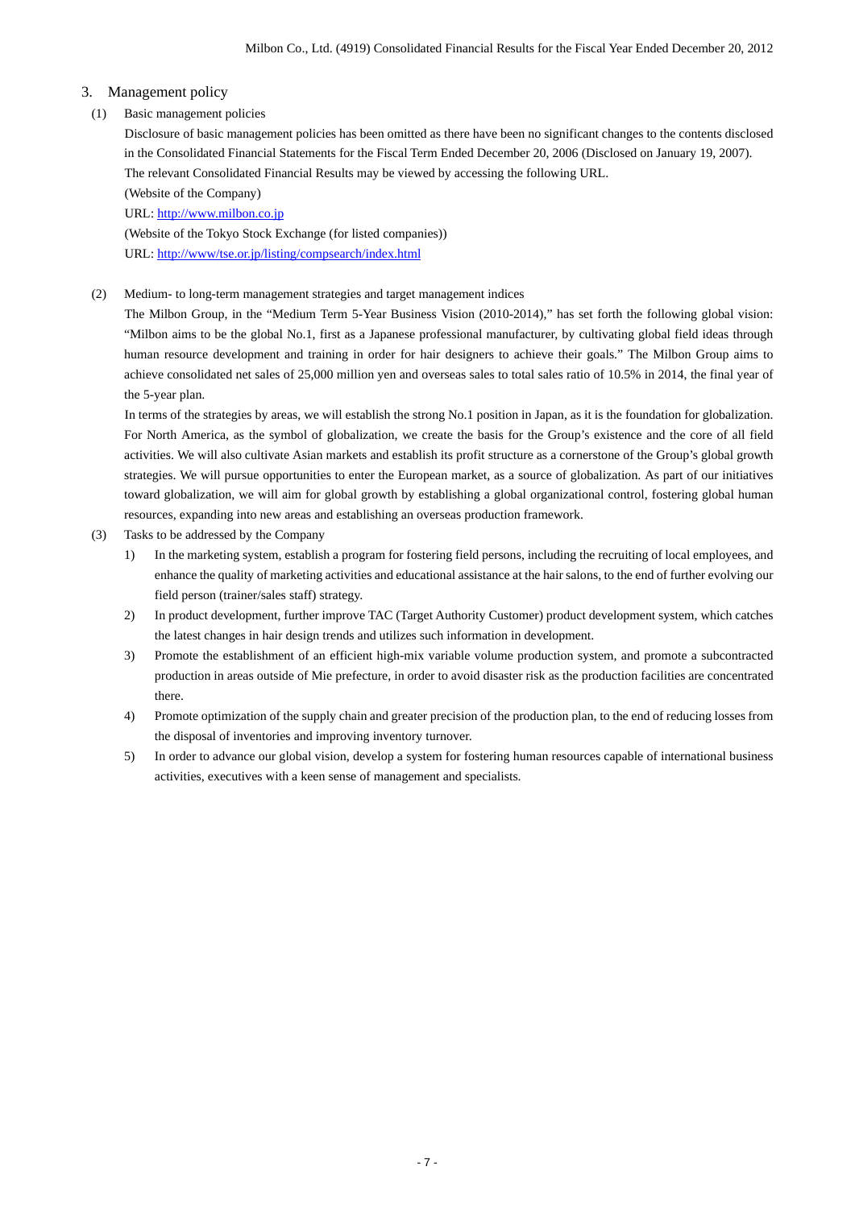### 3. Management policy

(1) Basic management policies

Disclosure of basic management policies has been omitted as there have been no significant changes to the contents disclosed in the Consolidated Financial Statements for the Fiscal Term Ended December 20, 2006 (Disclosed on January 19, 2007). The relevant Consolidated Financial Results may be viewed by accessing the following URL.

(Website of the Company)

URL: http://www.milbon.co.jp

(Website of the Tokyo Stock Exchange (for listed companies)) URL: http://www/tse.or.jp/listing/compsearch/index.html

(2) Medium- to long-term management strategies and target management indices

The Milbon Group, in the "Medium Term 5-Year Business Vision (2010-2014)," has set forth the following global vision: "Milbon aims to be the global No.1, first as a Japanese professional manufacturer, by cultivating global field ideas through human resource development and training in order for hair designers to achieve their goals." The Milbon Group aims to achieve consolidated net sales of 25,000 million yen and overseas sales to total sales ratio of 10.5% in 2014, the final year of the 5-year plan.

In terms of the strategies by areas, we will establish the strong No.1 position in Japan, as it is the foundation for globalization. For North America, as the symbol of globalization, we create the basis for the Group's existence and the core of all field activities. We will also cultivate Asian markets and establish its profit structure as a cornerstone of the Group's global growth strategies. We will pursue opportunities to enter the European market, as a source of globalization. As part of our initiatives toward globalization, we will aim for global growth by establishing a global organizational control, fostering global human resources, expanding into new areas and establishing an overseas production framework.

- (3) Tasks to be addressed by the Company
	- 1) In the marketing system, establish a program for fostering field persons, including the recruiting of local employees, and enhance the quality of marketing activities and educational assistance at the hair salons, to the end of further evolving our field person (trainer/sales staff) strategy.
	- 2) In product development, further improve TAC (Target Authority Customer) product development system, which catches the latest changes in hair design trends and utilizes such information in development.
	- 3) Promote the establishment of an efficient high-mix variable volume production system, and promote a subcontracted production in areas outside of Mie prefecture, in order to avoid disaster risk as the production facilities are concentrated there.
	- 4) Promote optimization of the supply chain and greater precision of the production plan, to the end of reducing losses from the disposal of inventories and improving inventory turnover.
	- 5) In order to advance our global vision, develop a system for fostering human resources capable of international business activities, executives with a keen sense of management and specialists.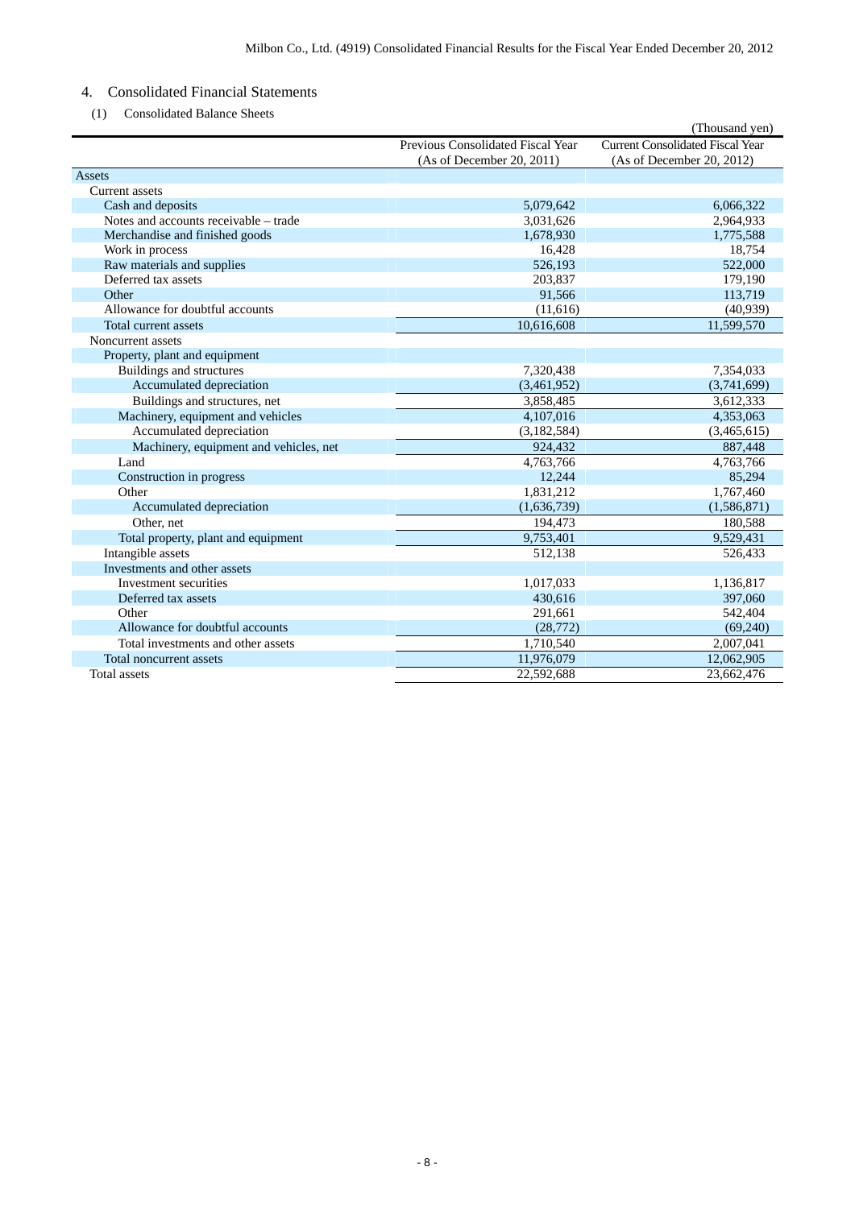# 4. Consolidated Financial Statements

(1) Consolidated Balance Sheets

|                                        |                                   | (Thousand yen)                   |
|----------------------------------------|-----------------------------------|----------------------------------|
|                                        | Previous Consolidated Fiscal Year | Current Consolidated Fiscal Year |
|                                        | (As of December 20, 2011)         | (As of December 20, 2012)        |
| Assets                                 |                                   |                                  |
| <b>Current</b> assets                  |                                   |                                  |
| Cash and deposits                      | 5,079,642                         | 6,066,322                        |
| Notes and accounts receivable - trade  | 3,031,626                         | 2,964,933                        |
| Merchandise and finished goods         | 1,678,930                         | 1,775,588                        |
| Work in process                        | 16,428                            | 18,754                           |
| Raw materials and supplies             | 526,193                           | 522,000                          |
| Deferred tax assets                    | 203,837                           | 179,190                          |
| Other                                  | 91,566                            | 113,719                          |
| Allowance for doubtful accounts        | (11,616)                          | (40, 939)                        |
| Total current assets                   | 10,616,608                        | 11,599,570                       |
| Noncurrent assets                      |                                   |                                  |
| Property, plant and equipment          |                                   |                                  |
| Buildings and structures               | 7,320,438                         | 7,354,033                        |
| Accumulated depreciation               | (3,461,952)                       | (3,741,699)                      |
| Buildings and structures, net          | 3,858,485                         | 3,612,333                        |
| Machinery, equipment and vehicles      | 4,107,016                         | 4,353,063                        |
| Accumulated depreciation               | (3,182,584)                       | (3,465,615)                      |
| Machinery, equipment and vehicles, net | 924,432                           | 887,448                          |
| Land                                   | 4,763,766                         | 4,763,766                        |
| Construction in progress               | 12,244                            | 85,294                           |
| Other                                  | 1,831,212                         | 1,767,460                        |
| Accumulated depreciation               | (1,636,739)                       | (1, 586, 871)                    |
| Other, net                             | 194,473                           | 180,588                          |
| Total property, plant and equipment    | 9,753,401                         | 9,529,431                        |
| Intangible assets                      | 512,138                           | 526.433                          |
| Investments and other assets           |                                   |                                  |
| Investment securities                  | 1,017,033                         | 1,136,817                        |
| Deferred tax assets                    | 430,616                           | 397,060                          |
| Other                                  | 291,661                           | 542.404                          |
| Allowance for doubtful accounts        | (28, 772)                         | (69,240)                         |
| Total investments and other assets     | 1,710,540                         | 2,007,041                        |
| Total noncurrent assets                | 11,976,079                        | 12,062,905                       |
| Total assets                           | 22,592,688                        | 23.662.476                       |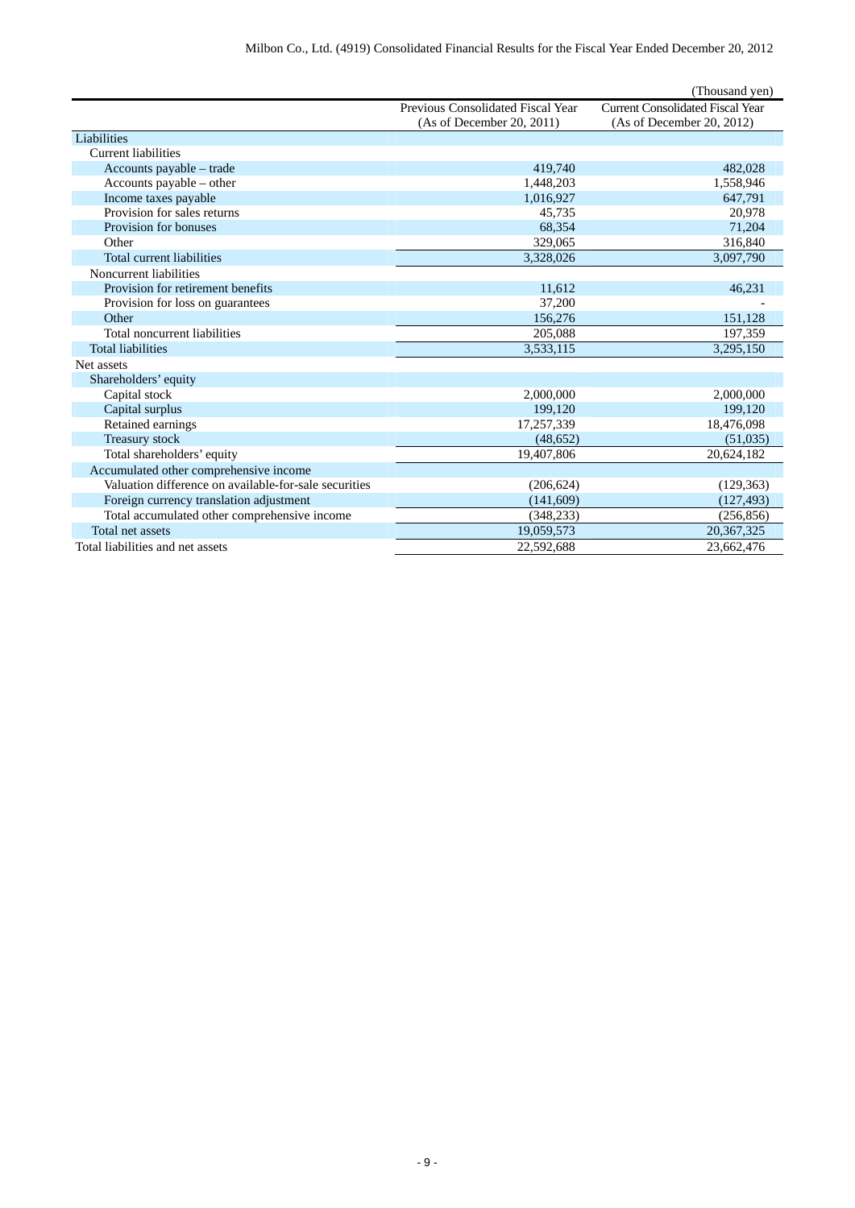|                                                       |                                   | (Thousand yen)                          |
|-------------------------------------------------------|-----------------------------------|-----------------------------------------|
|                                                       | Previous Consolidated Fiscal Year | <b>Current Consolidated Fiscal Year</b> |
|                                                       | (As of December 20, 2011)         | (As of December 20, 2012)               |
| Liabilities                                           |                                   |                                         |
| <b>Current liabilities</b>                            |                                   |                                         |
| Accounts payable – trade                              | 419,740                           | 482,028                                 |
| Accounts payable - other                              | 1,448,203                         | 1,558,946                               |
| Income taxes payable                                  | 1,016,927                         | 647,791                                 |
| Provision for sales returns                           | 45,735                            | 20,978                                  |
| Provision for bonuses                                 | 68,354                            | 71,204                                  |
| Other                                                 | 329,065                           | 316,840                                 |
| Total current liabilities                             | 3,328,026                         | 3,097,790                               |
| Noncurrent liabilities                                |                                   |                                         |
| Provision for retirement benefits                     | 11,612                            | 46,231                                  |
| Provision for loss on guarantees                      | 37,200                            |                                         |
| Other                                                 | 156,276                           | 151,128                                 |
| Total noncurrent liabilities                          | 205,088                           | 197,359                                 |
| <b>Total liabilities</b>                              | 3,533,115                         | 3,295,150                               |
| Net assets                                            |                                   |                                         |
| Shareholders' equity                                  |                                   |                                         |
| Capital stock                                         | 2,000,000                         | 2,000,000                               |
| Capital surplus                                       | 199.120                           | 199.120                                 |
| Retained earnings                                     | 17,257,339                        | 18,476,098                              |
| Treasury stock                                        | (48, 652)                         | (51,035)                                |
| Total shareholders' equity                            | 19,407,806                        | 20,624,182                              |
| Accumulated other comprehensive income                |                                   |                                         |
| Valuation difference on available-for-sale securities | (206, 624)                        | (129, 363)                              |
| Foreign currency translation adjustment               | (141,609)                         | (127, 493)                              |
| Total accumulated other comprehensive income          | (348, 233)                        | (256, 856)                              |
| Total net assets                                      | 19,059,573                        | 20,367,325                              |
| Total liabilities and net assets                      | 22,592,688                        | 23.662.476                              |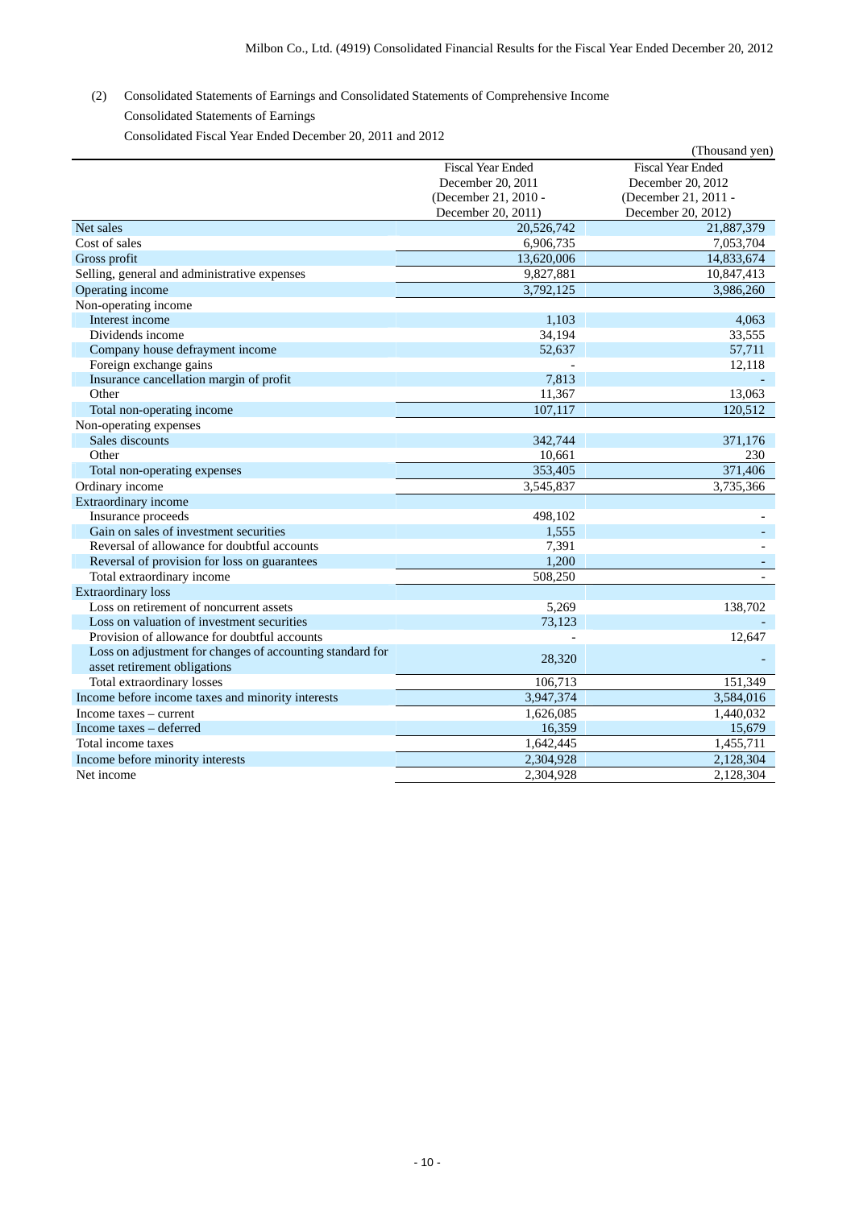- (2) Consolidated Statements of Earnings and Consolidated Statements of Comprehensive Income
	- Consolidated Statements of Earnings

Consolidated Fiscal Year Ended December 20, 2011 and 2012

|                                                           |                          | (Thousand yen)           |
|-----------------------------------------------------------|--------------------------|--------------------------|
|                                                           | <b>Fiscal Year Ended</b> | <b>Fiscal Year Ended</b> |
|                                                           | December 20, 2011        | December 20, 2012        |
|                                                           | (December 21, 2010 -     | (December 21, 2011 -     |
|                                                           | December 20, 2011)       | December 20, 2012)       |
| Net sales                                                 | 20,526,742               | 21,887,379               |
| Cost of sales                                             | 6,906,735                | 7,053,704                |
| Gross profit                                              | 13,620,006               | 14,833,674               |
| Selling, general and administrative expenses              | 9,827,881                | 10,847,413               |
| Operating income                                          | 3,792,125                | 3,986,260                |
| Non-operating income                                      |                          |                          |
| Interest income                                           | 1.103                    | 4,063                    |
| Dividends income                                          | 34,194                   | 33,555                   |
| Company house defrayment income                           | 52,637                   | 57,711                   |
| Foreign exchange gains                                    |                          | 12,118                   |
| Insurance cancellation margin of profit                   | 7,813                    |                          |
| Other                                                     | 11,367                   | 13,063                   |
| Total non-operating income                                | 107,117                  | 120,512                  |
| Non-operating expenses                                    |                          |                          |
| Sales discounts                                           | 342,744                  | 371,176                  |
| Other                                                     | 10.661                   | 230                      |
| Total non-operating expenses                              | 353,405                  | 371,406                  |
| Ordinary income                                           | 3,545,837                | 3,735,366                |
| Extraordinary income                                      |                          |                          |
| Insurance proceeds                                        | 498,102                  |                          |
| Gain on sales of investment securities                    | 1,555                    |                          |
| Reversal of allowance for doubtful accounts               | 7,391                    |                          |
| Reversal of provision for loss on guarantees              | 1,200                    |                          |
| Total extraordinary income                                | 508,250                  |                          |
| <b>Extraordinary</b> loss                                 |                          |                          |
| Loss on retirement of noncurrent assets                   | 5,269                    | 138,702                  |
| Loss on valuation of investment securities                | 73,123                   |                          |
| Provision of allowance for doubtful accounts              |                          | 12,647                   |
| Loss on adjustment for changes of accounting standard for | 28,320                   |                          |
| asset retirement obligations                              |                          |                          |
| Total extraordinary losses                                | 106,713                  | 151,349                  |
| Income before income taxes and minority interests         | 3,947,374                | 3,584,016                |
| Income taxes – current                                    | 1,626,085                | 1,440,032                |
| Income taxes - deferred                                   | 16,359                   | 15,679                   |
| Total income taxes                                        | 1,642,445                | 1,455,711                |
| Income before minority interests                          | 2,304,928                | 2,128,304                |
| Net income                                                | 2,304,928                | 2,128,304                |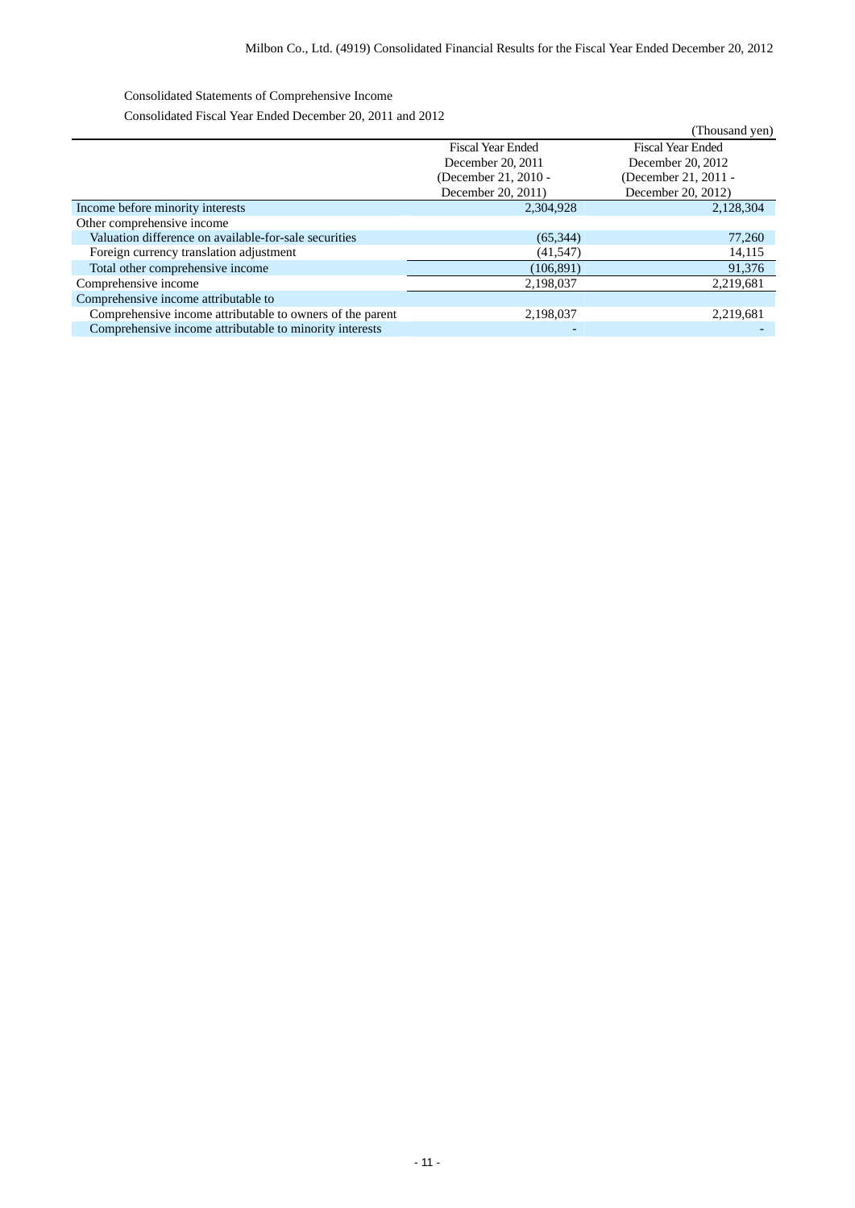Consolidated Statements of Comprehensive Income

Consolidated Fiscal Year Ended December 20, 2011 and 2012

|                                                           |                          | (Thousand yen)           |
|-----------------------------------------------------------|--------------------------|--------------------------|
|                                                           | <b>Fiscal Year Ended</b> | <b>Fiscal Year Ended</b> |
|                                                           | December 20, 2011        | December 20, 2012        |
|                                                           | (December 21, 2010 -     | (December 21, 2011 -     |
|                                                           | December 20, 2011)       | December 20, 2012)       |
| Income before minority interests                          | 2,304,928                | 2,128,304                |
| Other comprehensive income                                |                          |                          |
| Valuation difference on available-for-sale securities     | (65, 344)                | 77,260                   |
| Foreign currency translation adjustment                   | (41, 547)                | 14,115                   |
| Total other comprehensive income                          | (106, 891)               | 91,376                   |
| Comprehensive income                                      | 2,198,037                | 2,219,681                |
| Comprehensive income attributable to                      |                          |                          |
| Comprehensive income attributable to owners of the parent | 2,198,037                | 2,219,681                |
| Comprehensive income attributable to minority interests   | $\overline{\phantom{a}}$ |                          |
|                                                           |                          |                          |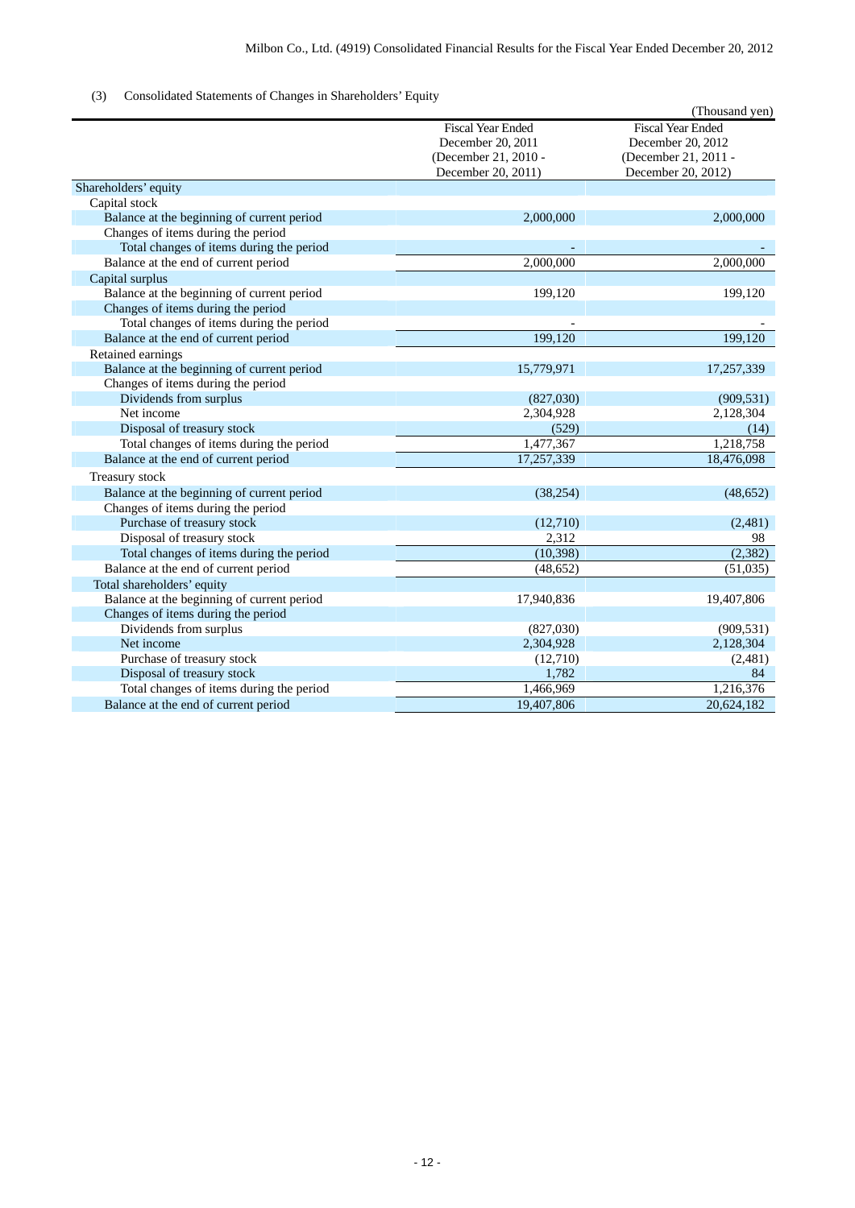## (3) Consolidated Statements of Changes in Shareholders' Equity

|                                            |                          | (Thousand yen)           |
|--------------------------------------------|--------------------------|--------------------------|
|                                            | <b>Fiscal Year Ended</b> | <b>Fiscal Year Ended</b> |
|                                            | December 20, 2011        | December 20, 2012        |
|                                            | (December 21, 2010 -     | (December 21, 2011 -     |
|                                            | December 20, 2011)       | December 20, 2012)       |
| Shareholders' equity                       |                          |                          |
| Capital stock                              |                          |                          |
| Balance at the beginning of current period | 2,000,000                | 2,000,000                |
| Changes of items during the period         |                          |                          |
| Total changes of items during the period   |                          |                          |
| Balance at the end of current period       | 2,000,000                | 2,000,000                |
| Capital surplus                            |                          |                          |
| Balance at the beginning of current period | 199,120                  | 199,120                  |
| Changes of items during the period         |                          |                          |
| Total changes of items during the period   |                          |                          |
| Balance at the end of current period       | 199,120                  | 199,120                  |
| Retained earnings                          |                          |                          |
| Balance at the beginning of current period | 15,779,971               | 17,257,339               |
| Changes of items during the period         |                          |                          |
| Dividends from surplus                     | (827,030)                | (909, 531)               |
| Net income                                 | 2,304,928                | 2,128,304                |
| Disposal of treasury stock                 | (529)                    | (14)                     |
| Total changes of items during the period   | 1,477,367                | 1,218,758                |
| Balance at the end of current period       | 17,257,339               | 18,476,098               |
| Treasury stock                             |                          |                          |
| Balance at the beginning of current period | (38, 254)                | (48, 652)                |
| Changes of items during the period         |                          |                          |
| Purchase of treasury stock                 | (12,710)                 | (2,481)                  |
| Disposal of treasury stock                 | 2,312                    | 98                       |
| Total changes of items during the period   | (10, 398)                | (2, 382)                 |
| Balance at the end of current period       | (48, 652)                | (51,035)                 |
| Total shareholders' equity                 |                          |                          |
| Balance at the beginning of current period | 17,940,836               | 19,407,806               |
| Changes of items during the period         |                          |                          |
| Dividends from surplus                     | (827,030)                | (909, 531)               |
| Net income                                 | 2,304,928                | 2,128,304                |
| Purchase of treasury stock                 | (12,710)                 | (2,481)                  |
| Disposal of treasury stock                 | 1,782                    | 84                       |
| Total changes of items during the period   | 1,466,969                | 1,216,376                |
| Balance at the end of current period       | 19,407,806               | 20,624,182               |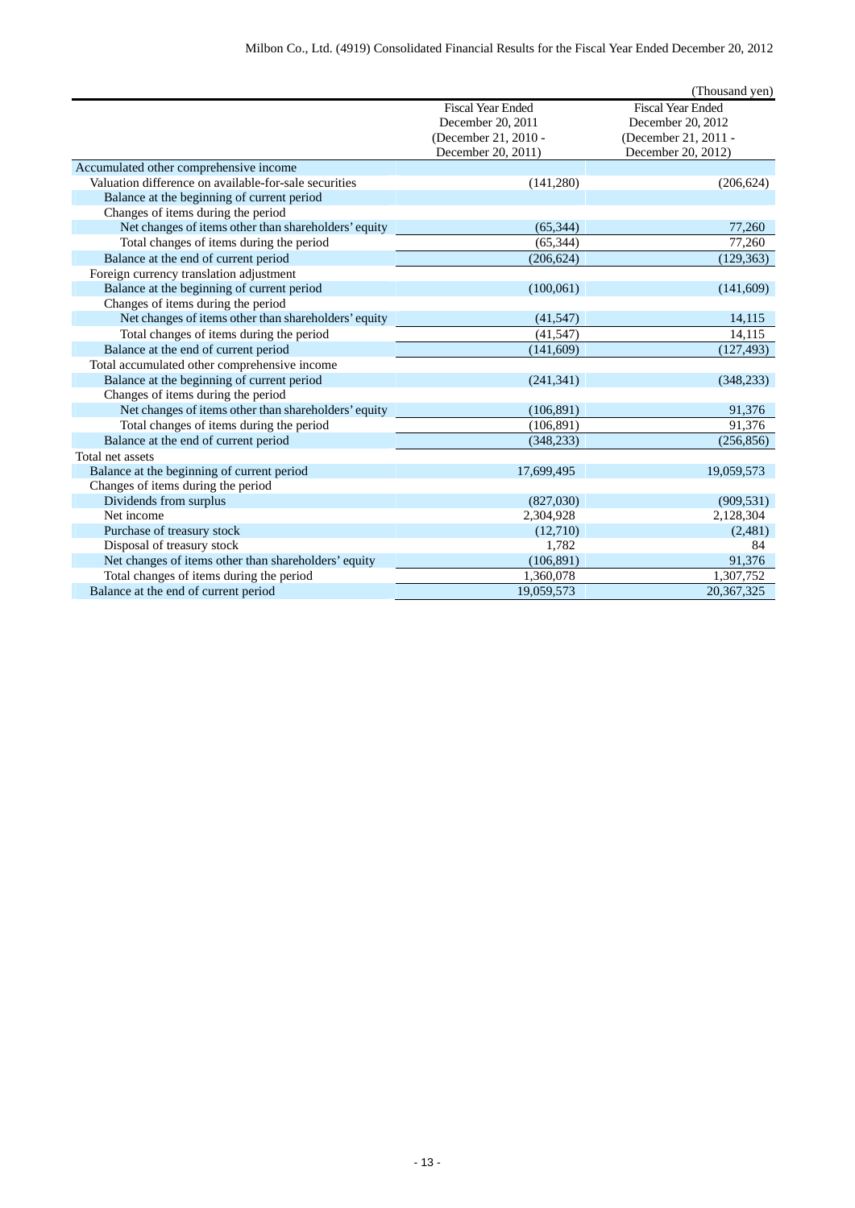|                                                       |                          | (Thousand yen)           |
|-------------------------------------------------------|--------------------------|--------------------------|
|                                                       | <b>Fiscal Year Ended</b> | <b>Fiscal Year Ended</b> |
|                                                       | December 20, 2011        | December 20, 2012        |
|                                                       | (December 21, 2010 -     | (December 21, 2011 -     |
|                                                       | December 20, 2011)       | December 20, 2012)       |
| Accumulated other comprehensive income                |                          |                          |
| Valuation difference on available-for-sale securities | (141, 280)               | (206, 624)               |
| Balance at the beginning of current period            |                          |                          |
| Changes of items during the period                    |                          |                          |
| Net changes of items other than shareholders' equity  | (65, 344)                | 77,260                   |
| Total changes of items during the period              | (65, 344)                | 77,260                   |
| Balance at the end of current period                  | (206, 624)               | (129, 363)               |
| Foreign currency translation adjustment               |                          |                          |
| Balance at the beginning of current period            | (100, 061)               | (141,609)                |
| Changes of items during the period                    |                          |                          |
| Net changes of items other than shareholders' equity  | (41, 547)                | 14,115                   |
| Total changes of items during the period              | (41, 547)                | 14,115                   |
| Balance at the end of current period                  | (141,609)                | (127, 493)               |
| Total accumulated other comprehensive income          |                          |                          |
| Balance at the beginning of current period            | (241, 341)               | (348, 233)               |
| Changes of items during the period                    |                          |                          |
| Net changes of items other than shareholders' equity  | (106, 891)               | 91,376                   |
| Total changes of items during the period              | (106, 891)               | 91,376                   |
| Balance at the end of current period                  | (348, 233)               | (256, 856)               |
| Total net assets                                      |                          |                          |
| Balance at the beginning of current period            | 17,699,495               | 19,059,573               |
| Changes of items during the period                    |                          |                          |
| Dividends from surplus                                | (827,030)                | (909, 531)               |
| Net income                                            | 2,304,928                | 2,128,304                |
| Purchase of treasury stock                            | (12,710)                 | (2,481)                  |
| Disposal of treasury stock                            | 1,782                    | 84                       |
| Net changes of items other than shareholders' equity  | (106, 891)               | 91,376                   |
| Total changes of items during the period              | 1,360,078                | 1,307,752                |
| Balance at the end of current period                  | 19.059.573               | 20,367,325               |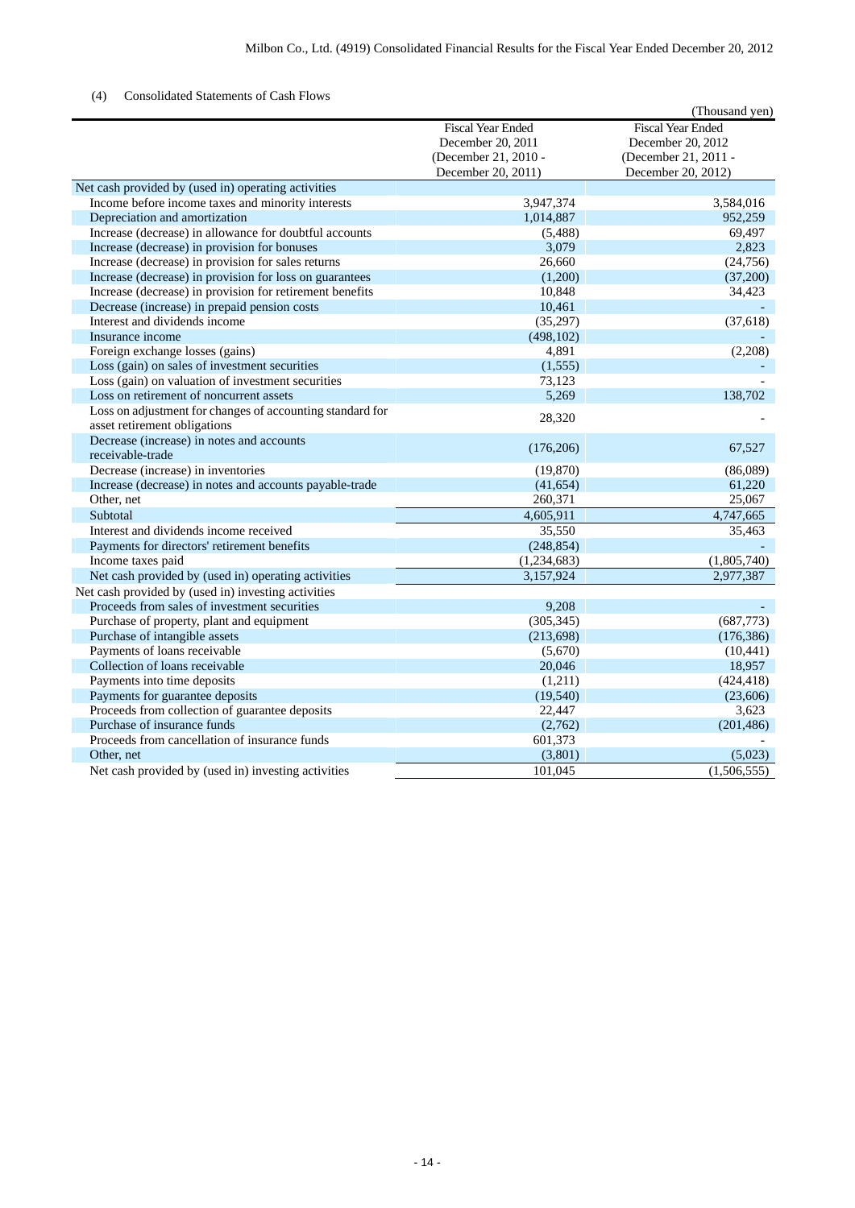## (4) Consolidated Statements of Cash Flows

|                                                           |                          | (Thousand yen)           |
|-----------------------------------------------------------|--------------------------|--------------------------|
|                                                           | <b>Fiscal Year Ended</b> | <b>Fiscal Year Ended</b> |
|                                                           | December 20, 2011        | December 20, 2012        |
|                                                           | (December 21, 2010 -     | (December 21, 2011 -     |
|                                                           | December 20, 2011)       | December 20, 2012)       |
| Net cash provided by (used in) operating activities       |                          |                          |
| Income before income taxes and minority interests         | 3,947,374                | 3,584,016                |
| Depreciation and amortization                             | 1,014,887                | 952,259                  |
| Increase (decrease) in allowance for doubtful accounts    | (5,488)                  | 69,497                   |
| Increase (decrease) in provision for bonuses              | 3,079                    | 2,823                    |
| Increase (decrease) in provision for sales returns        | 26,660                   | (24,756)                 |
| Increase (decrease) in provision for loss on guarantees   | (1,200)                  | (37,200)                 |
| Increase (decrease) in provision for retirement benefits  | 10,848                   | 34,423                   |
| Decrease (increase) in prepaid pension costs              | 10,461                   |                          |
| Interest and dividends income                             | (35,297)                 | (37, 618)                |
| Insurance income                                          | (498, 102)               |                          |
| Foreign exchange losses (gains)                           | 4,891                    | (2,208)                  |
| Loss (gain) on sales of investment securities             | (1, 555)                 |                          |
| Loss (gain) on valuation of investment securities         | 73,123                   |                          |
| Loss on retirement of noncurrent assets                   | 5,269                    | 138,702                  |
| Loss on adjustment for changes of accounting standard for | 28,320                   |                          |
| asset retirement obligations                              |                          |                          |
| Decrease (increase) in notes and accounts                 | (176,206)                | 67,527                   |
| receivable-trade                                          |                          |                          |
| Decrease (increase) in inventories                        | (19, 870)                | (86,089)                 |
| Increase (decrease) in notes and accounts payable-trade   | (41, 654)                | 61,220                   |
| Other, net                                                | 260,371                  | 25,067                   |
| Subtotal                                                  | 4,605,911                | 4,747,665                |
| Interest and dividends income received                    | 35,550                   | 35,463                   |
| Payments for directors' retirement benefits               | (248, 854)               |                          |
| Income taxes paid                                         | (1,234,683)              | (1,805,740)              |
| Net cash provided by (used in) operating activities       | 3,157,924                | 2,977,387                |
| Net cash provided by (used in) investing activities       |                          |                          |
| Proceeds from sales of investment securities              | 9,208                    |                          |
| Purchase of property, plant and equipment                 | (305, 345)               | (687, 773)               |
| Purchase of intangible assets                             | (213, 698)               | (176, 386)               |
| Payments of loans receivable                              | (5,670)                  | (10, 441)                |
| Collection of loans receivable                            | 20,046                   | 18,957                   |
| Payments into time deposits                               | (1,211)                  | (424, 418)               |
| Payments for guarantee deposits                           | (19, 540)                | (23,606)                 |
| Proceeds from collection of guarantee deposits            | 22,447                   | 3,623                    |
| Purchase of insurance funds                               | (2,762)                  | (201, 486)               |
| Proceeds from cancellation of insurance funds             | 601,373                  |                          |
| Other, net                                                | (3,801)                  | (5,023)                  |
| Net cash provided by (used in) investing activities       | 101,045                  | (1,506,555)              |